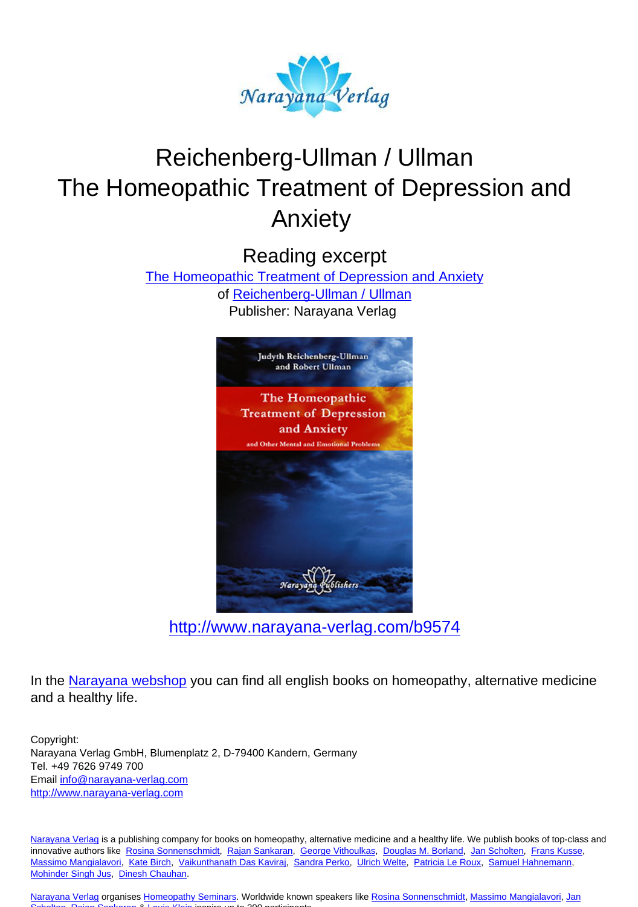

# Reichenberg-Ullman / Ullman The Homeopathic Treatment of Depression and Anxiety

Reading excerpt

[The Homeopathic Treatment of Depression and Anxiety](http://www.narayana-verlag.com/The-Homeopathic-Treatment-of-Depression-and-Anxiety-Judyth-Reichenberg-Ullman-Robert-Ullman/b9574/partner/leseprobe) of [Reichenberg-Ullman / Ullman](http://www.narayana-verlag.com/Reichenberg-Ullman-Ullman/a700/partner/leseprobe) Publisher: Narayana Verlag



[http://www.narayana-verlag.com/b9574](http://www.narayana-verlag.com/The-Homeopathic-Treatment-of-Depression-and-Anxiety-Judyth-Reichenberg-Ullman-Robert-Ullman/b9574/partner/leseprobe)

In the [Narayana webshop](http://www.narayana-verlag.com/partner/leseprobe) you can find all english books on homeopathy, alternative medicine and a healthy life.

Copyright: Narayana Verlag GmbH, Blumenplatz 2, D-79400 Kandern, Germany Tel. +49 7626 9749 700 Email [info@narayana-verlag.com](mailto:info@narayana-verlag.com) [http://www.narayana-verlag.com](http://www.narayana-verlag.com/partner/leseprobe)

[Narayana Verlag](http://www.narayana-verlag.com/partner/leseprobe) is a publishing company for books on homeopathy, alternative medicine and a healthy life. We publish books of top-class and innovative authors like [Rosina Sonnenschmidt](http://www.narayana-verlag.com/Rosina-Sonnenschmidt/a835/partner/leseprobe), [Rajan Sankaran](http://www.narayana-verlag.com/Rajan-Sankaran/a747/partner/leseprobe), [George Vithoulkas,](http://www.narayana-verlag.com/George-Vithoulkas/a917/partner/leseprobe) [Douglas M. Borland,](http://www.narayana-verlag.com/Douglas-M-Borland/a86/partner/leseprobe) [Jan Scholten](http://www.narayana-verlag.com/Jan-Scholten/a777/partner/leseprobe), [Frans Kusse,](http://www.narayana-verlag.com/Frans-Kusse/a1305/partner/leseprobe) [Massimo Mangialavori,](http://www.narayana-verlag.com/Massimo-Mangialavori/a538/partner/leseprobe) [Kate Birch](http://www.narayana-verlag.com/Kate-Birch/a1439/partner/leseprobe), [Vaikunthanath Das Kaviraj](http://www.narayana-verlag.com/Vaikunthanath-Das-Kaviraj/a1476/partner/leseprobe), [Sandra Perko,](http://www.narayana-verlag.com/Sandra-Perko/a642/partner/leseprobe) [Ulrich Welte](http://www.narayana-verlag.com/Ulrich-Welte/a935/partner/leseprobe), [Patricia Le Roux](http://www.narayana-verlag.com/Patricia-Le-Roux/a1230/partner/leseprobe), [Samuel Hahnemann,](http://www.narayana-verlag.com/Samuel-Hahnemann/a329/partner/leseprobe) [Mohinder Singh Jus](http://www.narayana-verlag.com/Mohinder-Singh-Jus/a417/partner/leseprobe), [Dinesh Chauhan.](http://www.narayana-verlag.com/Dinesh-Chauhan/a123/partner/leseprobe)

[Narayana Verlag](http://www.narayana-verlag.com/partner/leseprobe) organises [Homeopathy Seminars](http://www.narayana-verlag.com/Seminare/c162/partner/leseprobe). Worldwide known speakers like [Rosina Sonnenschmidt,](http://www.narayana-verlag.com/Rosina-Sonnenschmidt/a835/partner/leseprobe) [Massimo Mangialavori,](http://www.narayana-verlag.com/Massimo-Mangialavori/a538/partner/leseprobe) [Jan](http://www.narayana-verlag.com/Jan-Scholten/a777/partner/leseprobe) [Scholten](http://www.narayana-verlag.com/Jan-Scholten/a777/partner/leseprobe), [Rajan Sankaran](http://www.narayana-verlag.com/Rajan-Sankaran/a747/partner/leseprobe) & [Louis Klein](http://www.narayana-verlag.com/Louis-Klein/a450/partner/leseprobe) inspire up to 300 participants.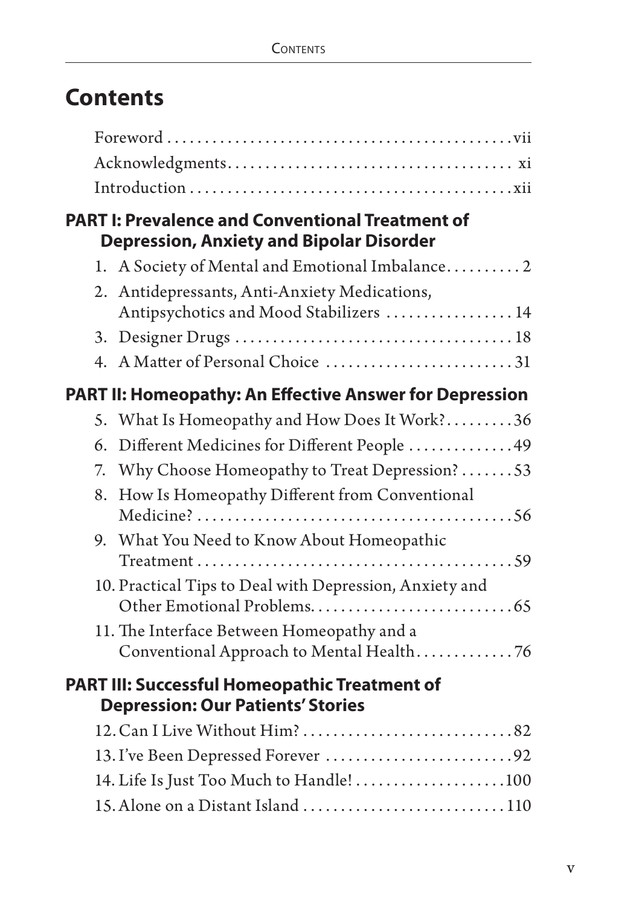# **Contents**

| <b>PART I: Prevalence and Conventional Treatment of</b><br><b>Depression, Anxiety and Bipolar Disorder</b> |
|------------------------------------------------------------------------------------------------------------|
| 1. A Society of Mental and Emotional Imbalance 2                                                           |
| 2. Antidepressants, Anti-Anxiety Medications,<br>Antipsychotics and Mood Stabilizers  14                   |
|                                                                                                            |
| 4. A Matter of Personal Choice 31                                                                          |
| <b>PART II: Homeopathy: An Effective Answer for Depression</b>                                             |
| 5. What Is Homeopathy and How Does It Work?36                                                              |
| Different Medicines for Different People  49<br>6.                                                         |
| Why Choose Homeopathy to Treat Depression?53<br>7.                                                         |
| How Is Homeopathy Different from Conventional<br>8.                                                        |
| 9. What You Need to Know About Homeopathic                                                                 |
| 10. Practical Tips to Deal with Depression, Anxiety and                                                    |
| 11. The Interface Between Homeopathy and a<br>Conventional Approach to Mental Health76                     |
| <b>PART III: Successful Homeopathic Treatment of</b><br><b>Depression: Our Patients' Stories</b>           |
|                                                                                                            |
| 13. I've Been Depressed Forever 92                                                                         |
| 14. Life Is Just Too Much to Handle! 100                                                                   |
| 15. Alone on a Distant Island 110                                                                          |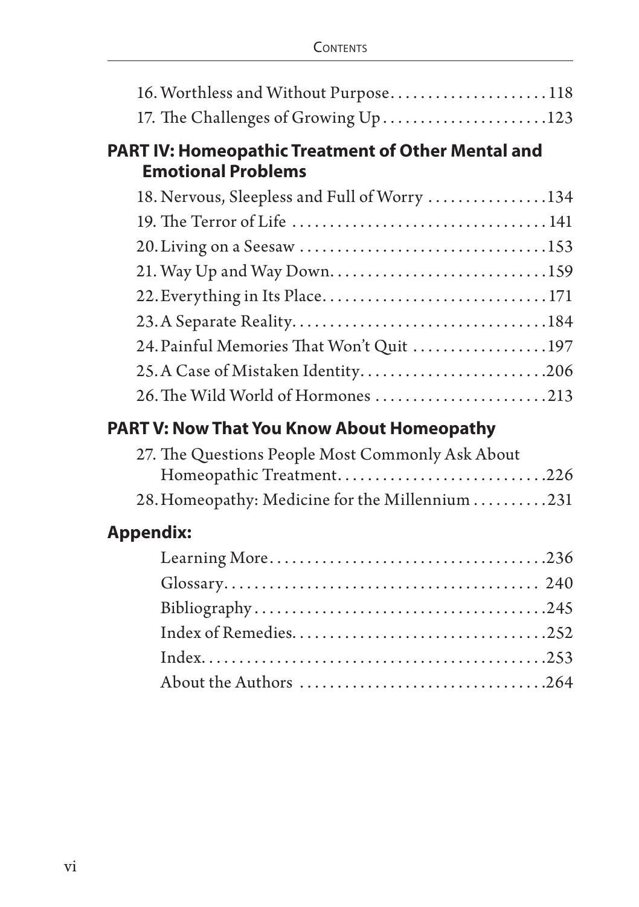| 16. Worthless and Without Purpose118 |  |
|--------------------------------------|--|
| 17. The Challenges of Growing Up123  |  |

#### **PART IV: Homeopathic Treatment of Other Mental and Emotional Problems**

| 18. Nervous, Sleepless and Full of Worry 134 |
|----------------------------------------------|
|                                              |
|                                              |
| 21. Way Up and Way Down159                   |
|                                              |
|                                              |
| 24. Painful Memories That Won't Quit 197     |
| 25. A Case of Mistaken Identity206           |
| 26. The Wild World of Hormones 213           |

## **PART V: Now That You Know About Homeopathy**

| 27. The Questions People Most Commonly Ask About |
|--------------------------------------------------|
| Homeopathic Treatment226                         |
| 28. Homeopathy: Medicine for the Millennium 231  |

## **Appendix:**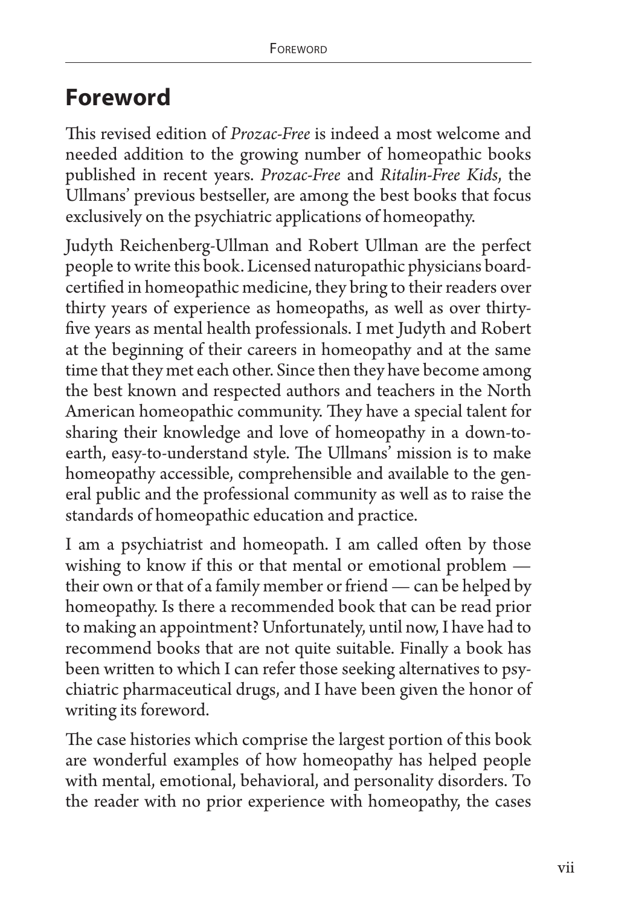## **Foreword**

This revised edition of *Prozac-Free* is indeed a most welcome and needed addition to the growing number of homeopathic books published in recent years. *Prozac-Free* and *Ritalin-Free Kids*, the Ullmans' previous bestseller, are among the best books that focus exclusively on the psychiatric applications of homeopathy.

Judyth Reichenberg-Ullman and Robert Ullman are the perfect people to write this book. Licensed naturopathic physicians boardcertified in homeopathic medicine, they bring to their readers over thirty years of experience as homeopaths, as well as over thirtyfive years as mental health professionals. I met Judyth and Robert at the beginning of their careers in homeopathy and at the same time that they met each other. Since then they have become among the best known and respected authors and teachers in the North American homeopathic community. They have a special talent for sharing their knowledge and love of homeopathy in a down-toearth, easy-to-understand style. The Ullmans' mission is to make homeopathy accessible, comprehensible and available to the general public and the professional community as well as to raise the standards of homeopathic education and practice.

I am a psychiatrist and homeopath. I am called often by those wishing to know if this or that mental or emotional problem their own or that of a family member or friend — can be helped by homeopathy. Is there a recommended book that can be read prior to making an appointment? Unfortunately, until now, I have had to recommend books that are not quite suitable. Finally a book has been written to which I can refer those seeking alternatives to psychiatric pharmaceutical drugs, and I have been given the honor of writing its foreword.

The case histories which comprise the largest portion of this book are wonderful examples of how homeopathy has helped people with mental, emotional, behavioral, and personality disorders. To the reader with no prior experience with homeopathy, the cases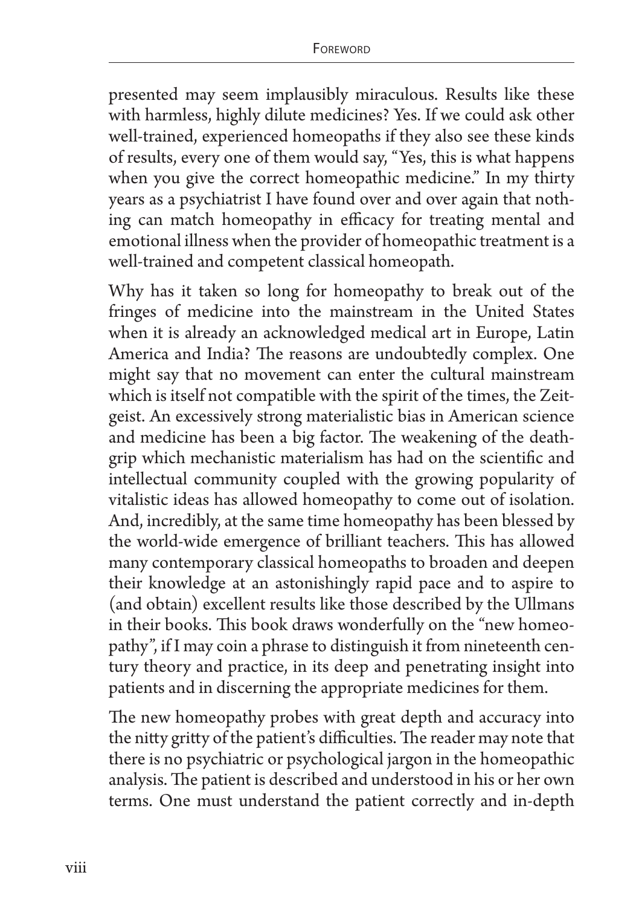presented may seem implausibly miraculous. Results like these with harmless, highly dilute medicines? Yes. If we could ask other well-trained, experienced homeopaths if they also see these kinds of results, every one of them would say, "Yes, this is what happens when you give the correct homeopathic medicine." In my thirty years as a psychiatrist I have found over and over again that nothing can match homeopathy in efficacy for treating mental and emotional illness when the provider of homeopathic treatment is a well-trained and competent classical homeopath.

Why has it taken so long for homeopathy to break out of the fringes of medicine into the mainstream in the United States when it is already an acknowledged medical art in Europe, Latin America and India? The reasons are undoubtedly complex. One might say that no movement can enter the cultural mainstream which is itself not compatible with the spirit of the times, the Zeitgeist. An excessively strong materialistic bias in American science and medicine has been a big factor. The weakening of the deathgrip which mechanistic materialism has had on the scientific and intellectual community coupled with the growing popularity of vitalistic ideas has allowed homeopathy to come out of isolation. And, incredibly, at the same time homeopathy has been blessed by the world-wide emergence of brilliant teachers. This has allowed many contemporary classical homeopaths to broaden and deepen their knowledge at an astonishingly rapid pace and to aspire to (and obtain) excellent results like those described by the Ullmans in their books. This book draws wonderfully on the "new homeopathy", if I may coin a phrase to distinguish it from nineteenth century theory and practice, in its deep and penetrating insight into patients and in discerning the appropriate medicines for them.

The new homeopathy probes with great depth and accuracy into the nitty gritty of the patient's difficulties. The reader may note that there is no psychiatric or psychological jargon in the homeopathic analysis. The patient is described and understood in his or her own terms. One must understand the patient correctly and in-depth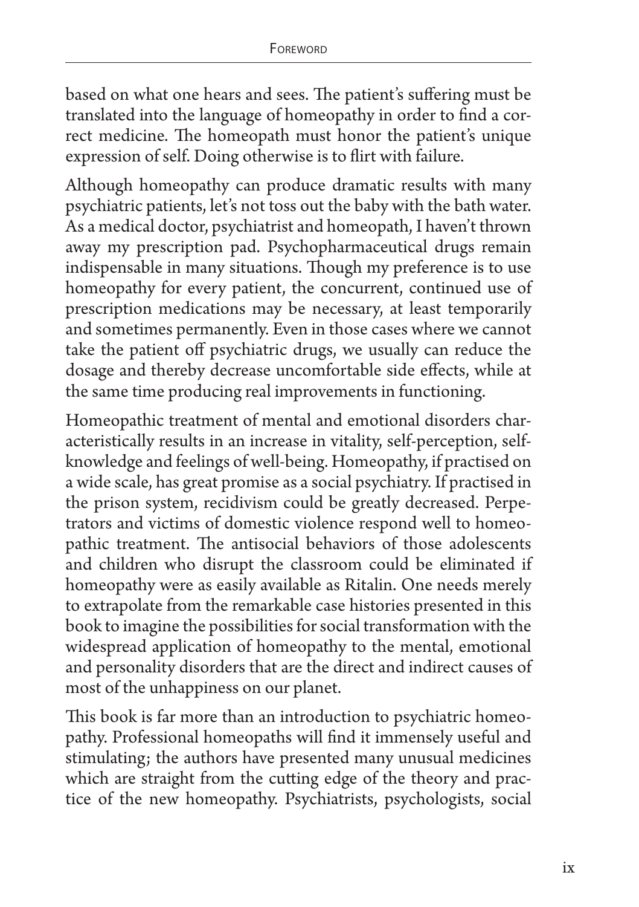based on what one hears and sees. The patient's suffering must be translated into the language of homeopathy in order to find a correct medicine. The homeopath must honor the patient's unique expression of self. Doing otherwise is to flirt with failure.

Although homeopathy can produce dramatic results with many psychiatric patients, let's not toss out the baby with the bath water. As a medical doctor, psychiatrist and homeopath, I haven't thrown away my prescription pad. Psychopharmaceutical drugs remain indispensable in many situations. Though my preference is to use homeopathy for every patient, the concurrent, continued use of prescription medications may be necessary, at least temporarily and sometimes permanently. Even in those cases where we cannot take the patient off psychiatric drugs, we usually can reduce the dosage and thereby decrease uncomfortable side effects, while at the same time producing real improvements in functioning.

Homeopathic treatment of mental and emotional disorders characteristically results in an increase in vitality, self-perception, selfknowledge and feelings of well-being. Homeopathy, if practised on a wide scale, has great promise as a social psychiatry. If practised in the prison system, recidivism could be greatly decreased. Perpetrators and victims of domestic violence respond well to homeopathic treatment. The antisocial behaviors of those adolescents and children who disrupt the classroom could be eliminated if homeopathy were as easily available as Ritalin. One needs merely to extrapolate from the remarkable case histories presented in this book to imagine the possibilities for social transformation with the widespread application of homeopathy to the mental, emotional and personality disorders that are the direct and indirect causes of most of the unhappiness on our planet.

This book is far more than an introduction to psychiatric homeopathy. Professional homeopaths will find it immensely useful and stimulating; the authors have presented many unusual medicines which are straight from the cutting edge of the theory and practice of the new homeopathy. Psychiatrists, psychologists, social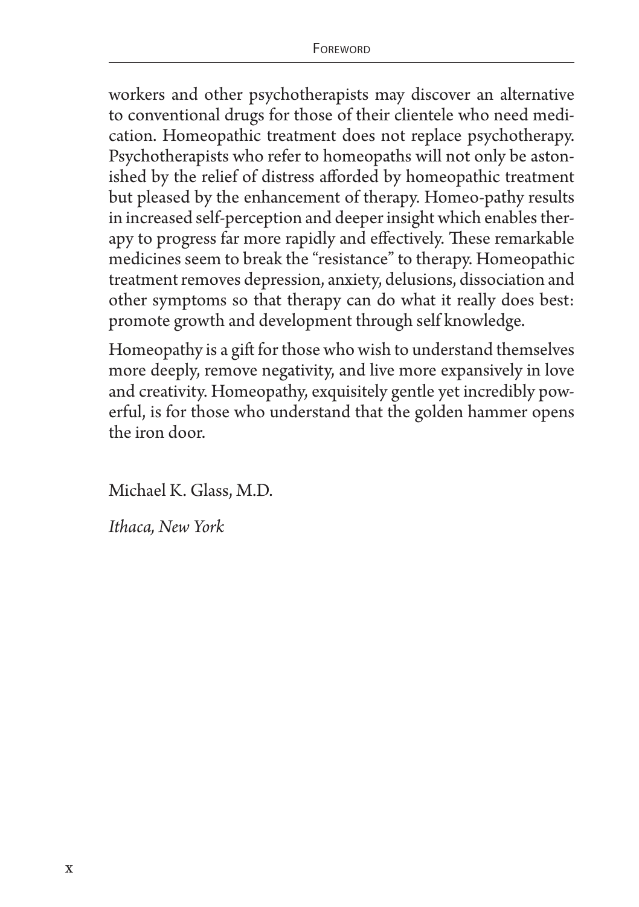workers and other psychotherapists may discover an alternative to conventional drugs for those of their clientele who need medication. Homeopathic treatment does not replace psychotherapy. Psychotherapists who refer to homeopaths will not only be astonished by the relief of distress afforded by homeopathic treatment but pleased by the enhancement of therapy. Homeo-pathy results in increased self-perception and deeper insight which enables therapy to progress far more rapidly and effectively. These remarkable medicines seem to break the "resistance" to therapy. Homeopathic treatment removes depression, anxiety, delusions, dissociation and other symptoms so that therapy can do what it really does best: promote growth and development through self knowledge.

Homeopathy is a gift for those who wish to understand themselves more deeply, remove negativity, and live more expansively in love and creativity. Homeopathy, exquisitely gentle yet incredibly powerful, is for those who understand that the golden hammer opens the iron door.

Michael K. Glass, M.D.

*Ithaca, New York*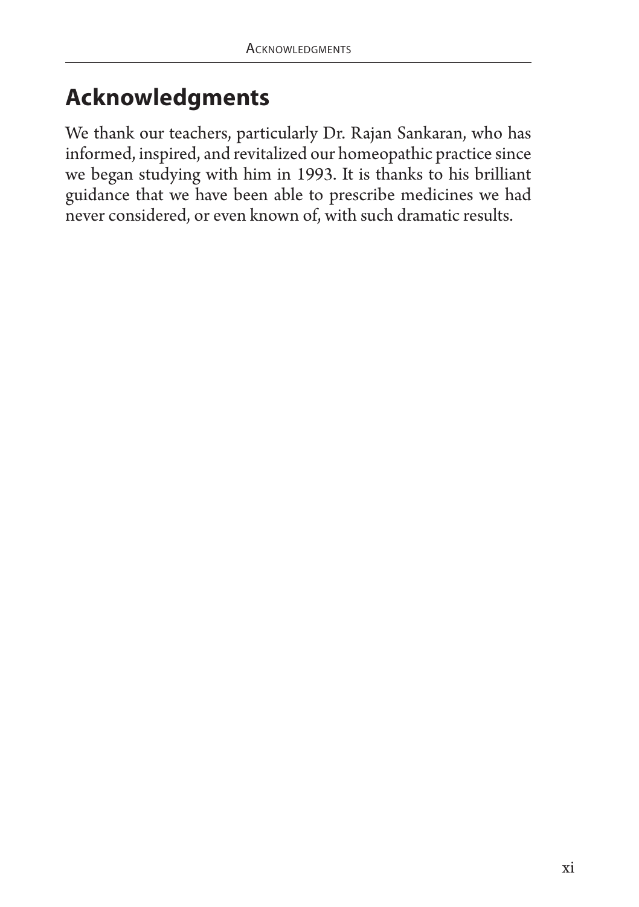# **Acknowledgments**

We thank our teachers, particularly Dr. Rajan Sankaran, who has informed, inspired, and revitalized our homeopathic practice since we began studying with him in 1993. It is thanks to his brilliant guidance that we have been able to prescribe medicines we had never considered, or even known of, with such dramatic results.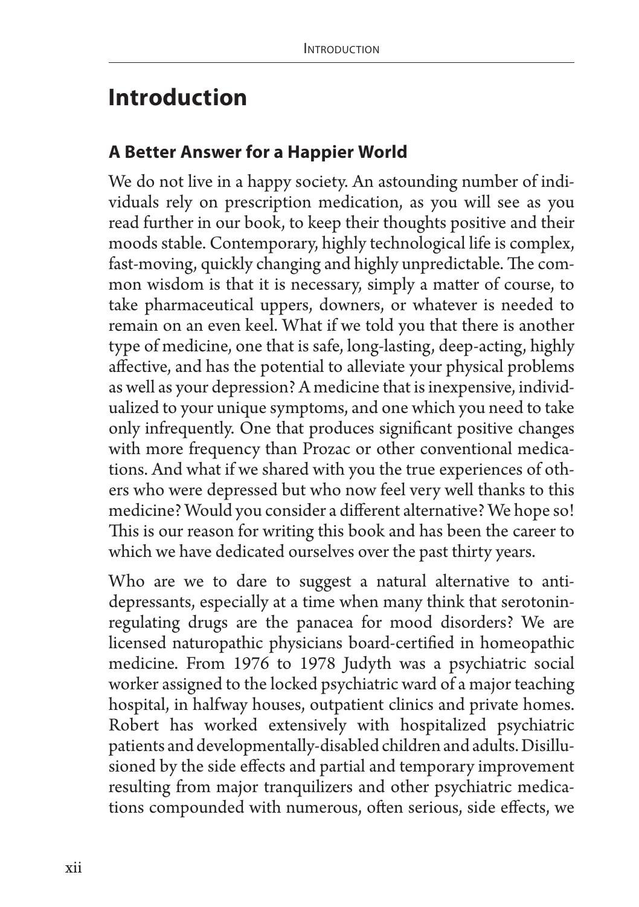## **Introduction**

#### **A Better Answer for a Happier World**

We do not live in a happy society. An astounding number of individuals rely on prescription medication, as you will see as you read further in our book, to keep their thoughts positive and their moods stable. Contemporary, highly technological life is complex, fast-moving, quickly changing and highly unpredictable. The common wisdom is that it is necessary, simply a matter of course, to take pharmaceutical uppers, downers, or whatever is needed to remain on an even keel. What if we told you that there is another type of medicine, one that is safe, long-lasting, deep-acting, highly affective, and has the potential to alleviate your physical problems as well as your depression? A medicine that is inexpensive, individualized to your unique symptoms, and one which you need to take only infrequently. One that produces significant positive changes with more frequency than Prozac or other conventional medications. And what if we shared with you the true experiences of others who were depressed but who now feel very well thanks to this medicine? Would you consider a different alternative? We hope so! This is our reason for writing this book and has been the career to which we have dedicated ourselves over the past thirty years.

Who are we to dare to suggest a natural alternative to antidepressants, especially at a time when many think that serotoninregulating drugs are the panacea for mood disorders? We are licensed naturopathic physicians board-certified in homeopathic medicine. From 1976 to 1978 Judyth was a psychiatric social worker assigned to the locked psychiatric ward of a major teaching hospital, in halfway houses, outpatient clinics and private homes. Robert has worked extensively with hospitalized psychiatric patients and developmentally-disabled children and adults. Disillusioned by the side effects and partial and temporary improvement resulting from major tranquilizers and other psychiatric medications compounded with numerous, often serious, side effects, we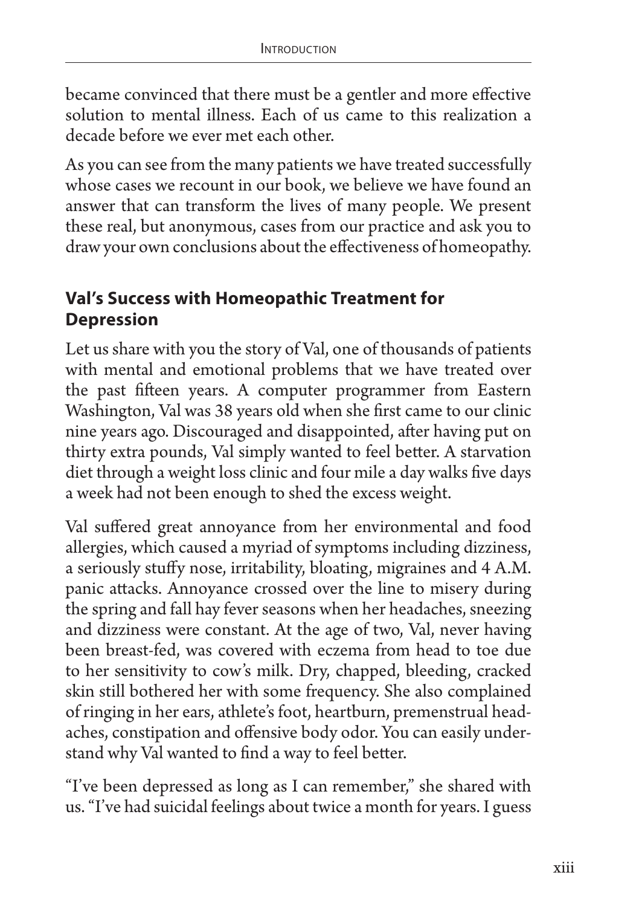became convinced that there must be a gentler and more effective solution to mental illness. Each of us came to this realization a decade before we ever met each other.

As you can see from the many patients we have treated successfully whose cases we recount in our book, we believe we have found an answer that can transform the lives of many people. We present these real, but anonymous, cases from our practice and ask you to draw your own conclusions about the effectiveness of homeopathy.

#### **Val's Success with Homeopathic Treatment for Depression**

Let us share with you the story of Val, one of thousands of patients with mental and emotional problems that we have treated over the past fifteen years. A computer programmer from Eastern Washington, Val was 38 years old when she first came to our clinic nine years ago. Discouraged and disappointed, after having put on thirty extra pounds, Val simply wanted to feel better. A starvation diet through a weight loss clinic and four mile a day walks five days a week had not been enough to shed the excess weight.

Val suffered great annoyance from her environmental and food allergies, which caused a myriad of symptoms including dizziness, a seriously stuffy nose, irritability, bloating, migraines and 4 A.M. panic attacks. Annoyance crossed over the line to misery during the spring and fall hay fever seasons when her headaches, sneezing and dizziness were constant. At the age of two, Val, never having been breast-fed, was covered with eczema from head to toe due to her sensitivity to cow's milk. Dry, chapped, bleeding, cracked skin still bothered her with some frequency. She also complained of ringing in her ears, athlete's foot, heartburn, premenstrual headaches, constipation and offensive body odor. You can easily understand why Val wanted to find a way to feel better.

"I've been depressed as long as I can remember," she shared with us. "I've had suicidal feelings about twice a month for years. I guess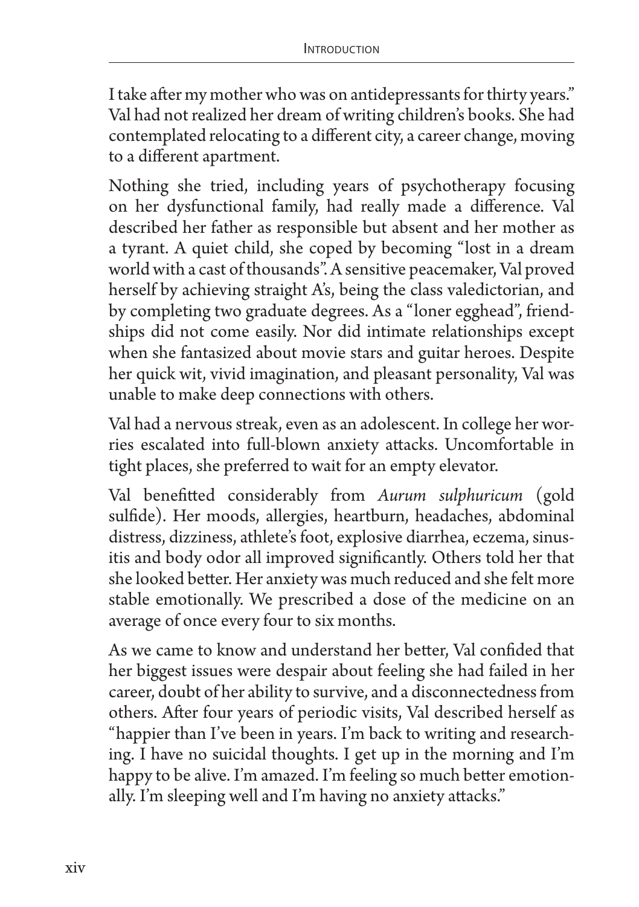I take after my mother who was on antidepressants for thirty years." Val had not realized her dream of writing children's books. She had contemplated relocating to a different city, a career change, moving to a different apartment.

Nothing she tried, including years of psychotherapy focusing on her dysfunctional family, had really made a difference. Val described her father as responsible but absent and her mother as a tyrant. A quiet child, she coped by becoming "lost in a dream world with a cast of thousands". A sensitive peacemaker, Val proved herself by achieving straight A's, being the class valedictorian, and by completing two graduate degrees. As a "loner egghead", friendships did not come easily. Nor did intimate relationships except when she fantasized about movie stars and guitar heroes. Despite her quick wit, vivid imagination, and pleasant personality, Val was unable to make deep connections with others.

Val had a nervous streak, even as an adolescent. In college her worries escalated into full-blown anxiety attacks. Uncomfortable in tight places, she preferred to wait for an empty elevator.

Val benefitted considerably from *Aurum sulphuricum* (gold sulfide). Her moods, allergies, heartburn, headaches, abdominal distress, dizziness, athlete's foot, explosive diarrhea, eczema, sinusitis and body odor all improved significantly. Others told her that she looked better. Her anxiety was much reduced and she felt more stable emotionally. We prescribed a dose of the medicine on an average of once every four to six months.

As we came to know and understand her better, Val confided that her biggest issues were despair about feeling she had failed in her career, doubt of her ability to survive, and a disconnectedness from others. After four years of periodic visits, Val described herself as "happier than I've been in years. I'm back to writing and researching. I have no suicidal thoughts. I get up in the morning and I'm happy to be alive. I'm amazed. I'm feeling so much better emotionally. I'm sleeping well and I'm having no anxiety attacks."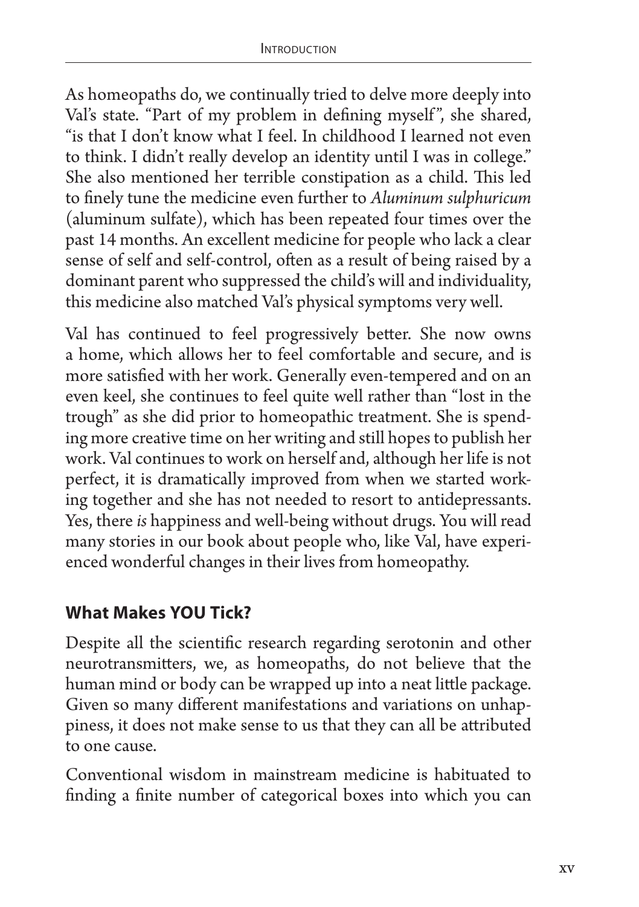As homeopaths do, we continually tried to delve more deeply into Val's state. "Part of my problem in defining myself", she shared, "is that I don't know what I feel. In childhood I learned not even to think. I didn't really develop an identity until I was in college." She also mentioned her terrible constipation as a child. This led to finely tune the medicine even further to *Aluminum sulphuricum*  (aluminum sulfate), which has been repeated four times over the past 14 months. An excellent medicine for people who lack a clear sense of self and self-control, often as a result of being raised by a dominant parent who suppressed the child's will and individuality, this medicine also matched Val's physical symptoms very well.

Val has continued to feel progressively better. She now owns a home, which allows her to feel comfortable and secure, and is more satisfied with her work. Generally even-tempered and on an even keel, she continues to feel quite well rather than "lost in the trough" as she did prior to homeopathic treatment. She is spending more creative time on her writing and still hopes to publish her work. Val continues to work on herself and, although her life is not perfect, it is dramatically improved from when we started working together and she has not needed to resort to antidepressants. Yes, there *is* happiness and well-being without drugs. You will read many stories in our book about people who, like Val, have experienced wonderful changes in their lives from homeopathy.

## **What Makes YOU Tick?**

Despite all the scientific research regarding serotonin and other neurotransmitters, we, as homeopaths, do not believe that the human mind or body can be wrapped up into a neat little package. Given so many different manifestations and variations on unhappiness, it does not make sense to us that they can all be attributed to one cause.

Conventional wisdom in mainstream medicine is habituated to finding a finite number of categorical boxes into which you can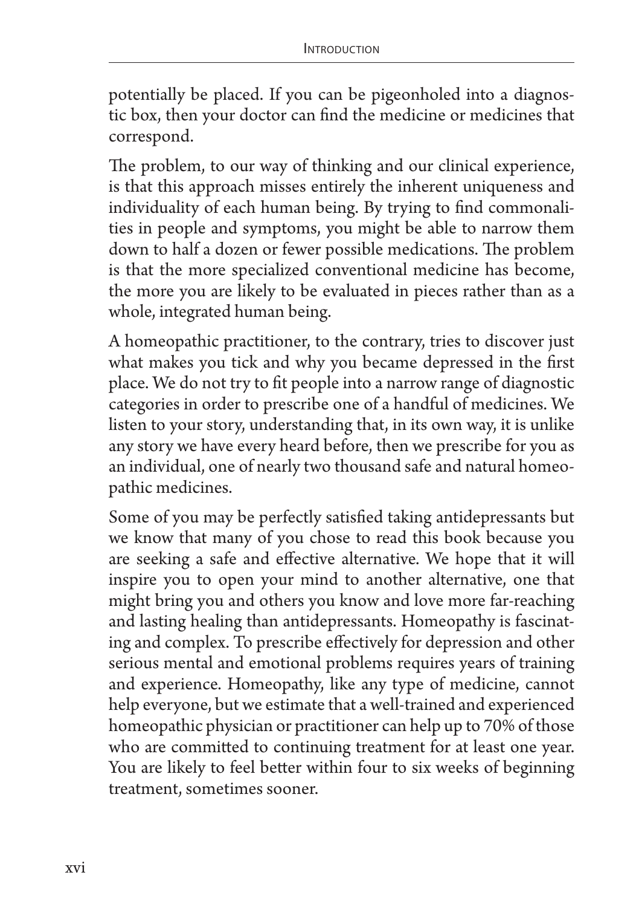potentially be placed. If you can be pigeonholed into a diagnostic box, then your doctor can find the medicine or medicines that correspond.

The problem, to our way of thinking and our clinical experience, is that this approach misses entirely the inherent uniqueness and individuality of each human being. By trying to find commonalities in people and symptoms, you might be able to narrow them down to half a dozen or fewer possible medications. The problem is that the more specialized conventional medicine has become, the more you are likely to be evaluated in pieces rather than as a whole, integrated human being.

A homeopathic practitioner, to the contrary, tries to discover just what makes you tick and why you became depressed in the first place. We do not try to fit people into a narrow range of diagnostic categories in order to prescribe one of a handful of medicines. We listen to your story, understanding that, in its own way, it is unlike any story we have every heard before, then we prescribe for you as an individual, one of nearly two thousand safe and natural homeopathic medicines.

Some of you may be perfectly satisfied taking antidepressants but we know that many of you chose to read this book because you are seeking a safe and effective alternative. We hope that it will inspire you to open your mind to another alternative, one that might bring you and others you know and love more far-reaching and lasting healing than antidepressants. Homeopathy is fascinating and complex. To prescribe effectively for depression and other serious mental and emotional problems requires years of training and experience. Homeopathy, like any type of medicine, cannot help everyone, but we estimate that a well-trained and experienced homeopathic physician or practitioner can help up to 70% of those who are committed to continuing treatment for at least one year. You are likely to feel better within four to six weeks of beginning treatment, sometimes sooner.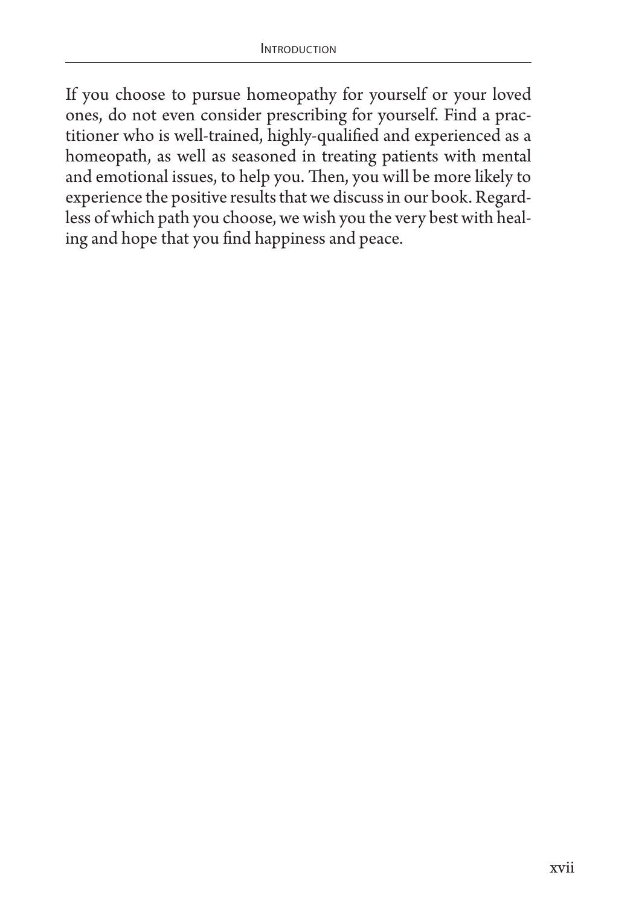If you choose to pursue homeopathy for yourself or your loved ones, do not even consider prescribing for yourself. Find a practitioner who is well-trained, highly-qualified and experienced as a homeopath, as well as seasoned in treating patients with mental and emotional issues, to help you. Then, you will be more likely to experience the positive results that we discuss in our book. Regardless of which path you choose, we wish you the very best with healing and hope that you find happiness and peace.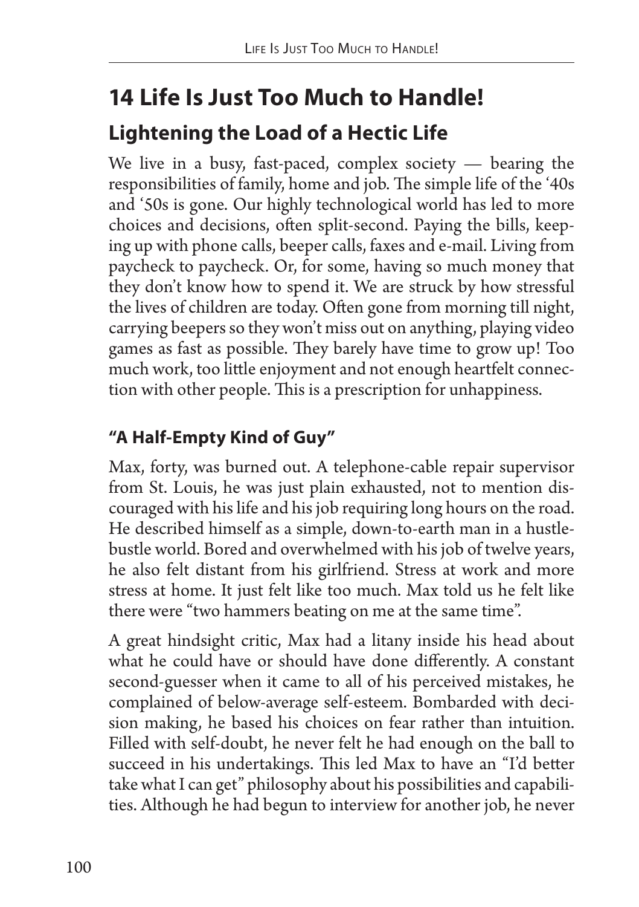# **14 Life Is Just Too Much to Handle!**

# **Lightening the Load of a Hectic Life**

We live in a busy, fast-paced, complex society — bearing the responsibilities of family, home and job. The simple life of the '40s and '50s is gone. Our highly technological world has led to more choices and decisions, often split-second. Paying the bills, keeping up with phone calls, beeper calls, faxes and e-mail. Living from paycheck to paycheck. Or, for some, having so much money that they don't know how to spend it. We are struck by how stressful the lives of children are today. Often gone from morning till night, carrying beepers so they won't miss out on anything, playing video games as fast as possible. They barely have time to grow up! Too much work, too little enjoyment and not enough heartfelt connection with other people. This is a prescription for unhappiness.

## **"A Half-Empty Kind of Guy"**

Max, forty, was burned out. A telephone-cable repair supervisor from St. Louis, he was just plain exhausted, not to mention discouraged with his life and his job requiring long hours on the road. He described himself as a simple, down-to-earth man in a hustlebustle world. Bored and overwhelmed with his job of twelve years, he also felt distant from his girlfriend. Stress at work and more stress at home. It just felt like too much. Max told us he felt like there were "two hammers beating on me at the same time".

A great hindsight critic, Max had a litany inside his head about what he could have or should have done differently. A constant second-guesser when it came to all of his perceived mistakes, he complained of below-average self-esteem. Bombarded with decision making, he based his choices on fear rather than intuition. Filled with self-doubt, he never felt he had enough on the ball to succeed in his undertakings. This led Max to have an "I'd better take what I can get" philosophy about his possibilities and capabilities. Although he had begun to interview for another job, he never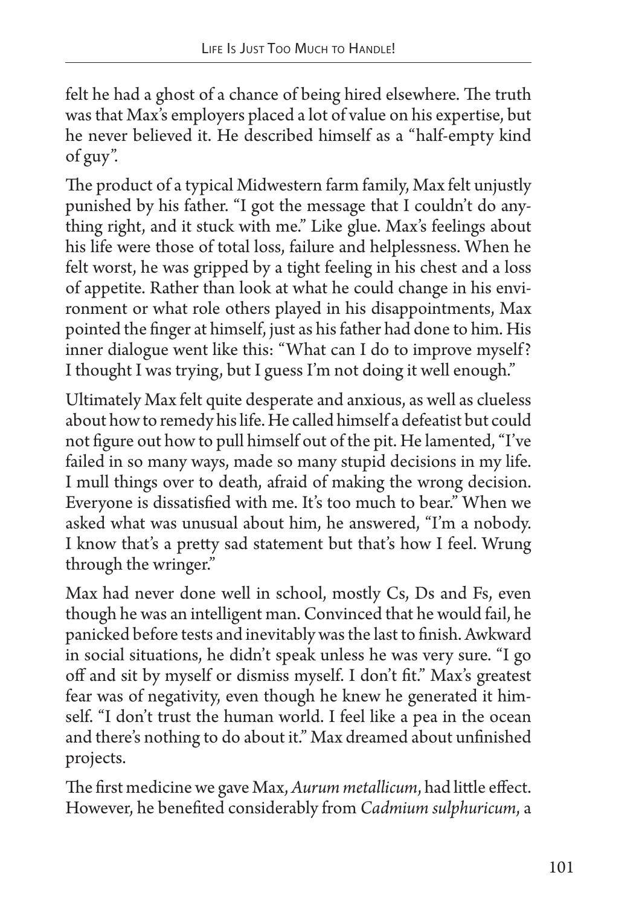felt he had a ghost of a chance of being hired elsewhere. The truth was that Max's employers placed a lot of value on his expertise, but he never believed it. He described himself as a "half-empty kind of guy".

The product of a typical Midwestern farm family, Max felt unjustly punished by his father. "I got the message that I couldn't do anything right, and it stuck with me." Like glue. Max's feelings about his life were those of total loss, failure and helplessness. When he felt worst, he was gripped by a tight feeling in his chest and a loss of appetite. Rather than look at what he could change in his environment or what role others played in his disappointments, Max pointed the finger at himself, just as his father had done to him. His inner dialogue went like this: "What can I do to improve myself? I thought I was trying, but I guess I'm not doing it well enough."

Ultimately Max felt quite desperate and anxious, as well as clueless about how to remedy his life. He called himself a defeatist but could not figure out how to pull himself out of the pit. He lamented, "I've failed in so many ways, made so many stupid decisions in my life. I mull things over to death, afraid of making the wrong decision. Everyone is dissatisfied with me. It's too much to bear." When we asked what was unusual about him, he answered, "I'm a nobody. I know that's a pretty sad statement but that's how I feel. Wrung through the wringer."

Max had never done well in school, mostly Cs, Ds and Fs, even though he was an intelligent man. Convinced that he would fail, he panicked before tests and inevitably was the last to finish. Awkward in social situations, he didn't speak unless he was very sure. "I go off and sit by myself or dismiss myself. I don't fit." Max's greatest fear was of negativity, even though he knew he generated it himself. "I don't trust the human world. I feel like a pea in the ocean and there's nothing to do about it." Max dreamed about unfinished projects.

The first medicine we gave Max, *Aurum metallicum*, had little effect. However, he benefited considerably from *Cadmium sulphuricum*, a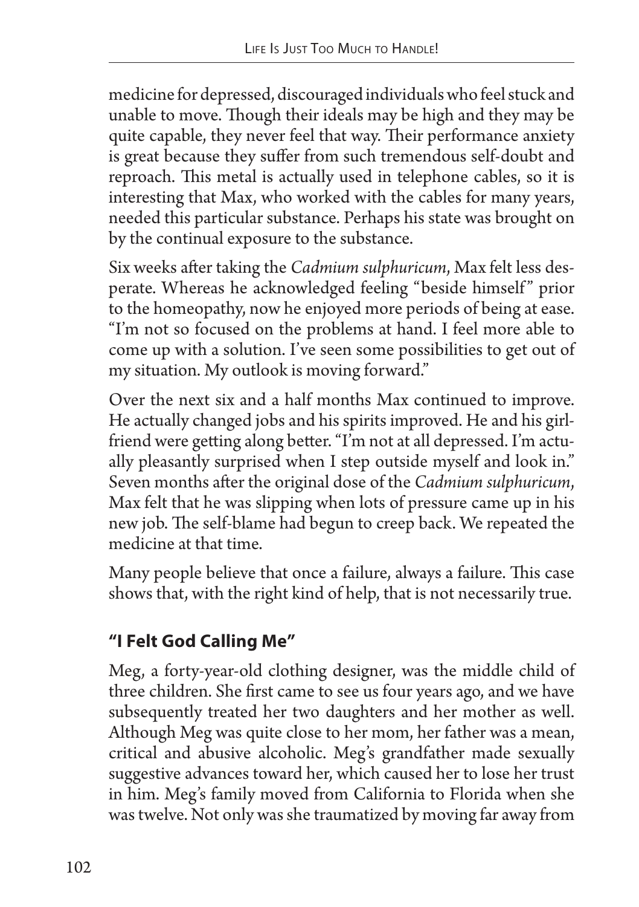medicine for depressed, discouraged individuals who feel stuck and unable to move. Though their ideals may be high and they may be quite capable, they never feel that way. Their performance anxiety is great because they suffer from such tremendous self-doubt and reproach. This metal is actually used in telephone cables, so it is interesting that Max, who worked with the cables for many years, needed this particular substance. Perhaps his state was brought on by the continual exposure to the substance.

Six weeks after taking the *Cadmium sulphuricum*, Max felt less desperate. Whereas he acknowledged feeling "beside himself" prior to the homeopathy, now he enjoyed more periods of being at ease. "I'm not so focused on the problems at hand. I feel more able to come up with a solution. I've seen some possibilities to get out of my situation. My outlook is moving forward."

Over the next six and a half months Max continued to improve. He actually changed jobs and his spirits improved. He and his girlfriend were getting along better. "I'm not at all depressed. I'm actually pleasantly surprised when I step outside myself and look in." Seven months after the original dose of the *Cadmium sulphuricum*, Max felt that he was slipping when lots of pressure came up in his new job. The self-blame had begun to creep back. We repeated the medicine at that time.

Many people believe that once a failure, always a failure. This case shows that, with the right kind of help, that is not necessarily true.

## **"I Felt God Calling Me"**

Meg, a forty-year-old clothing designer, was the middle child of three children. She first came to see us four years ago, and we have subsequently treated her two daughters and her mother as well. Although Meg was quite close to her mom, her father was a mean, critical and abusive alcoholic. Meg's grandfather made sexually suggestive advances toward her, which caused her to lose her trust in him. Meg's family moved from California to Florida when she was twelve. Not only was she traumatized by moving far away from